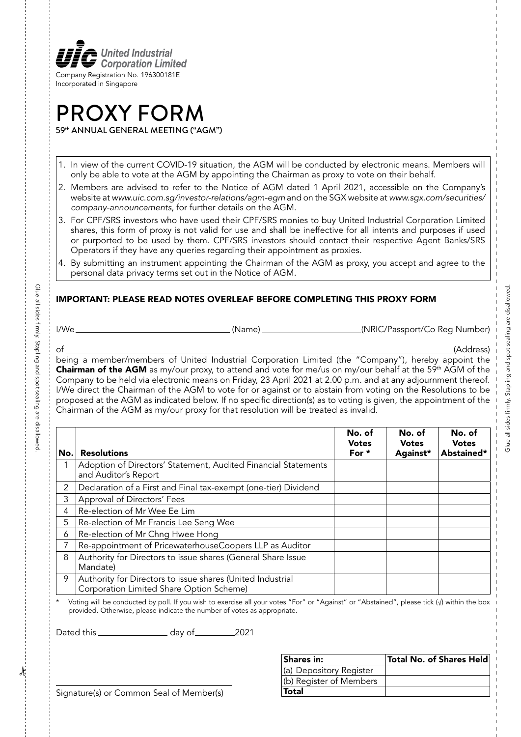

# PROXY FORM 59th ANNUAL GENERAL MEETING ("AGM")

- 1. In view of the current COVID-19 situation, the AGM will be conducted by electronic means. Members will only be able to vote at the AGM by appointing the Chairman as proxy to vote on their behalf.
- 2. Members are advised to refer to the Notice of AGM dated 1 April 2021, accessible on the Company's website at *www.uic.com.sg/investor-relations/agm-egm* and on the SGX website at *www.sgx.com/securities/ company-announcements*, for further details on the AGM.
- 3. For CPF/SRS investors who have used their CPF/SRS monies to buy United Industrial Corporation Limited shares, this form of proxy is not valid for use and shall be ineffective for all intents and purposes if used or purported to be used by them. CPF/SRS investors should contact their respective Agent Banks/SRS Operators if they have any queries regarding their appointment as proxies.
- 4. By submitting an instrument appointing the Chairman of the AGM as proxy, you accept and agree to the personal data privacy terms set out in the Notice of AGM.

## IMPORTANT: PLEASE READ NOTES OVERLEAF BEFORE COMPLETING THIS PROXY FORM

Glue all sides firmly. Stapling and spot sealing are disallowed.

Giue all sides tirmly. Stapling and spot sealing are disallowec

I/We (Name) (NRIC/Passport/Co Reg Number)

of (Address) being a member/members of United Industrial Corporation Limited (the "Company"), hereby appoint the Chairman of the AGM as my/our proxy, to attend and vote for me/us on my/our behalf at the 59<sup>th</sup> AGM of the Company to be held via electronic means on Friday, 23 April 2021 at 2.00 p.m. and at any adjournment thereof. I/We direct the Chairman of the AGM to vote for or against or to abstain from voting on the Resolutions to be proposed at the AGM as indicated below. If no specific direction(s) as to voting is given, the appointment of the Chairman of the AGM as my/our proxy for that resolution will be treated as invalid.

| No. | <b>Resolutions</b>                                                                                     | No. of<br><b>Votes</b><br>For $*$ | No. of<br><b>Votes</b><br>Against* | No. of<br><b>Votes</b><br>Abstained* |
|-----|--------------------------------------------------------------------------------------------------------|-----------------------------------|------------------------------------|--------------------------------------|
|     | Adoption of Directors' Statement, Audited Financial Statements<br>and Auditor's Report                 |                                   |                                    |                                      |
| 2   | Declaration of a First and Final tax-exempt (one-tier) Dividend                                        |                                   |                                    |                                      |
| 3   | Approval of Directors' Fees                                                                            |                                   |                                    |                                      |
| 4   | Re-election of Mr Wee Ee Lim                                                                           |                                   |                                    |                                      |
| 5   | Re-election of Mr Francis Lee Seng Wee                                                                 |                                   |                                    |                                      |
| 6   | Re-election of Mr Chng Hwee Hong                                                                       |                                   |                                    |                                      |
|     | Re-appointment of PricewaterhouseCoopers LLP as Auditor                                                |                                   |                                    |                                      |
| 8   | Authority for Directors to issue shares (General Share Issue<br>Mandate)                               |                                   |                                    |                                      |
| 9   | Authority for Directors to issue shares (United Industrial<br>Corporation Limited Share Option Scheme) |                                   |                                    |                                      |

Voting will be conducted by poll. If you wish to exercise all your votes "For" or "Against" or "Abstained", please tick (√) within the box provided. Otherwise, please indicate the number of votes as appropriate.

Dated this day of 2021

| Shares in:              | Total No. of Shares Held |
|-------------------------|--------------------------|
| (a) Depository Register |                          |
| (b) Register of Members |                          |
| <b>Total</b>            |                          |

Signature(s) or Common Seal of Member(s)